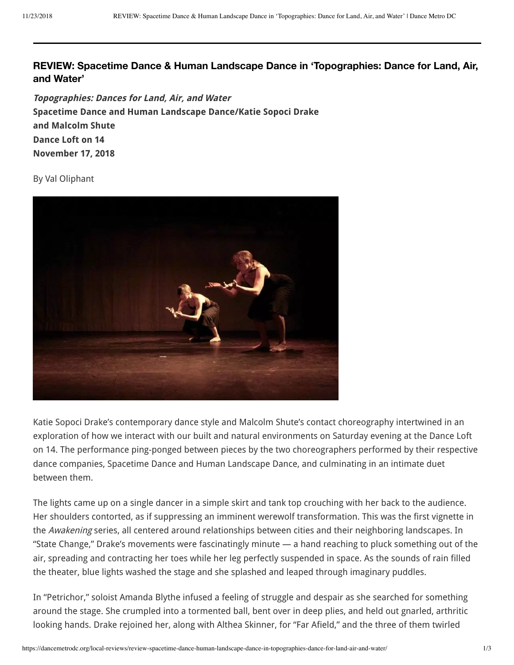## **REVIEW: Spacetime Dance & Human Landscape Dance in 'Topographies: Dance for Land, Air, and Water'**

**Topographie: Dance for Land, Air, and Water pacetime Dance and Human Landcape Dance/Katie opoci Drake and Malcolm hute Dance Loft on 14 Novemer 17, 2018**

By Val Oliphant



Katie Sopoci Drake's contemporary dance style and Malcolm Shute's contact choreography intertwined in an exploration of how we interact with our built and natural environments on Saturday evening at the Dance Loft on 14. The performance ping-ponged between pieces by the two choreographers performed by their respective dance companies, Spacetime Dance and Human Landscape Dance, and culminating in an intimate duet hetween them.

The lights came up on a single dancer in a simple skirt and tank top crouching with her back to the audience. Her shoulders contorted, as if suppressing an imminent werewolf transformation. This was the first vignette in the Awakening series, all centered around relationships between cities and their neighboring landscapes. In "State Change," Drake's movements were fascinatingly minute — a hand reaching to pluck something out of the air, spreading and contracting her toes while her leg perfectly suspended in space. As the sounds of rain filled the theater, blue lights washed the stage and she splashed and leaped through imaginary puddles.

In "Petrichor," soloist Amanda Blythe infused a feeling of struggle and despair as she searched for something around the stage. She crumpled into a tormented ball, bent over in deep plies, and held out gnarled, arthritic looking hands. Drake rejoined her, along with Althea Skinner, for "Far Afield," and the three of them twirled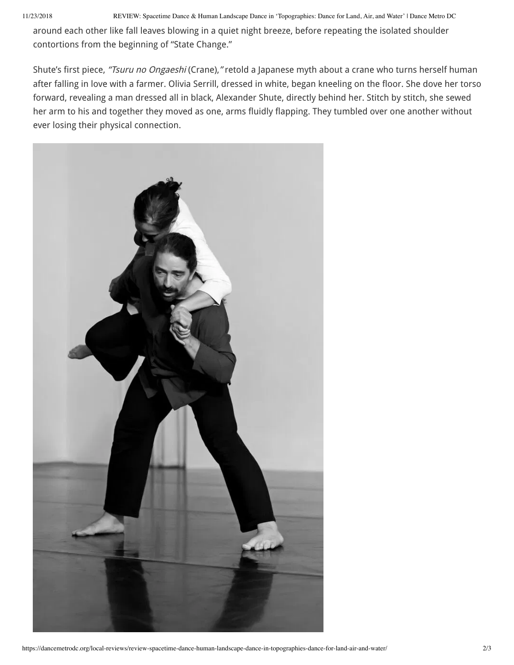11/23/2018 REVIEW: Spacetime Dance & Human Landscape Dance in 'Topographies: Dance for Land, Air, and Water' | Dance Metro DC

around each other like fall leaves blowing in a quiet night breeze, before repeating the isolated shoulder contortions from the beginning of "State Change."

Shute's first piece, "Tsuru no Ongaeshi (Crane), " retold a Japanese myth about a crane who turns herself human after falling in love with a farmer. Olivia Serrill, dressed in white, began kneeling on the floor. She dove her torso forward, revealing a man dressed all in black, Alexander Shute, directly behind her. Stitch by stitch, she sewed her arm to his and together they moved as one, arms fluidly flapping. They tumbled over one another without ever losing their physical connection.